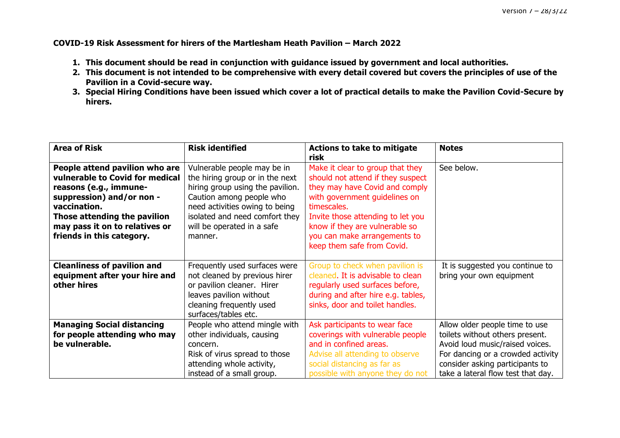**COVID-19 Risk Assessment for hirers of the Martlesham Heath Pavilion – March 2022**

- **1. This document should be read in conjunction with guidance issued by government and local authorities.**
- **2. This document is not intended to be comprehensive with every detail covered but covers the principles of use of the Pavilion in a Covid-secure way.**
- **3. Special Hiring Conditions have been issued which cover a lot of practical details to make the Pavilion Covid-Secure by hirers.**

| <b>Area of Risk</b>                                                                                                                                                                                                                     | <b>Risk identified</b>                                                                                                                                                                                                                      | <b>Actions to take to mitigate</b><br>risk                                                                                                                                                                                                                                                   | <b>Notes</b>                                                                                                                                                                                                       |
|-----------------------------------------------------------------------------------------------------------------------------------------------------------------------------------------------------------------------------------------|---------------------------------------------------------------------------------------------------------------------------------------------------------------------------------------------------------------------------------------------|----------------------------------------------------------------------------------------------------------------------------------------------------------------------------------------------------------------------------------------------------------------------------------------------|--------------------------------------------------------------------------------------------------------------------------------------------------------------------------------------------------------------------|
| People attend pavilion who are<br>vulnerable to Covid for medical<br>reasons (e.g., immune-<br>suppression) and/or non -<br>vaccination.<br>Those attending the pavilion<br>may pass it on to relatives or<br>friends in this category. | Vulnerable people may be in<br>the hiring group or in the next<br>hiring group using the pavilion.<br>Caution among people who<br>need activities owing to being<br>isolated and need comfort they<br>will be operated in a safe<br>manner. | Make it clear to group that they<br>should not attend if they suspect<br>they may have Covid and comply<br>with government guidelines on<br>timescales.<br>Invite those attending to let you<br>know if they are vulnerable so<br>you can make arrangements to<br>keep them safe from Covid. | See below.                                                                                                                                                                                                         |
| <b>Cleanliness of pavilion and</b><br>equipment after your hire and<br>other hires                                                                                                                                                      | Frequently used surfaces were<br>not cleaned by previous hirer<br>or pavilion cleaner. Hirer<br>leaves pavilion without<br>cleaning frequently used<br>surfaces/tables etc.                                                                 | Group to check when pavilion is<br>cleaned. It is advisable to clean<br>regularly used surfaces before,<br>during and after hire e.g. tables,<br>sinks, door and toilet handles.                                                                                                             | It is suggested you continue to<br>bring your own equipment                                                                                                                                                        |
| <b>Managing Social distancing</b><br>for people attending who may<br>be vulnerable.                                                                                                                                                     | People who attend mingle with<br>other individuals, causing<br>concern.<br>Risk of virus spread to those<br>attending whole activity,<br>instead of a small group.                                                                          | Ask participants to wear face<br>coverings with vulnerable people<br>and in confined areas.<br>Advise all attending to observe<br>social distancing as far as<br>possible with anyone they do not                                                                                            | Allow older people time to use<br>toilets without others present.<br>Avoid loud music/raised voices.<br>For dancing or a crowded activity<br>consider asking participants to<br>take a lateral flow test that day. |